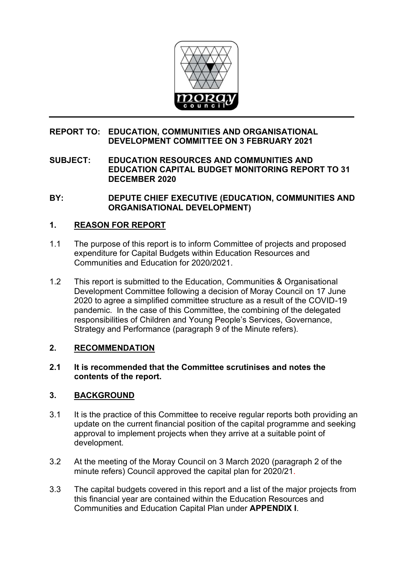

# **REPORT TO: EDUCATION, COMMUNITIES AND ORGANISATIONAL DEVELOPMENT COMMITTEE ON 3 FEBRUARY 2021**

**SUBJECT: EDUCATION RESOURCES AND COMMUNITIES AND EDUCATION CAPITAL BUDGET MONITORING REPORT TO 31 DECEMBER 2020**

**BY: DEPUTE CHIEF EXECUTIVE (EDUCATION, COMMUNITIES AND ORGANISATIONAL DEVELOPMENT)**

# **1. REASON FOR REPORT**

- 1.1 The purpose of this report is to inform Committee of projects and proposed expenditure for Capital Budgets within Education Resources and Communities and Education for 2020/2021.
- 1.2 This report is submitted to the Education, Communities & Organisational Development Committee following a decision of Moray Council on 17 June 2020 to agree a simplified committee structure as a result of the COVID-19 pandemic. In the case of this Committee, the combining of the delegated responsibilities of Children and Young People's Services, Governance, Strategy and Performance (paragraph 9 of the Minute refers).

#### **2. RECOMMENDATION**

#### **2.1 It is recommended that the Committee scrutinises and notes the contents of the report.**

# **3. BACKGROUND**

- 3.1 It is the practice of this Committee to receive regular reports both providing an update on the current financial position of the capital programme and seeking approval to implement projects when they arrive at a suitable point of development.
- 3.2 At the meeting of the Moray Council on 3 March 2020 (paragraph 2 of the minute refers) Council approved the capital plan for 2020/21.
- 3.3 The capital budgets covered in this report and a list of the major projects from this financial year are contained within the Education Resources and Communities and Education Capital Plan under **APPENDIX I**.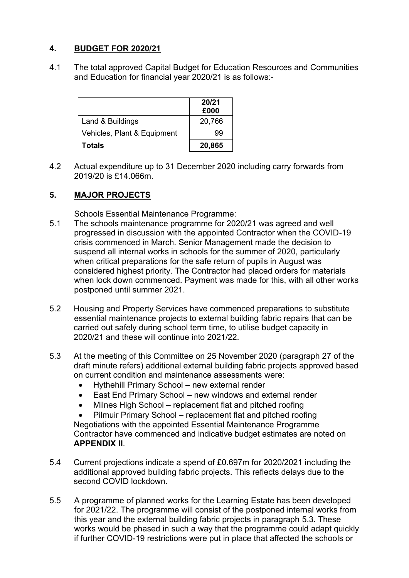# **4. BUDGET FOR 2020/21**

4.1 The total approved Capital Budget for Education Resources and Communities and Education for financial year 2020/21 is as follows:-

|                             | 20/21<br>£000 |
|-----------------------------|---------------|
| Land & Buildings            | 20,766        |
| Vehicles, Plant & Equipment | 99            |
| Totals                      | 20,865        |

4.2 Actual expenditure up to 31 December 2020 including carry forwards from 2019/20 is £14.066m.

# **5. MAJOR PROJECTS**

Schools Essential Maintenance Programme:

- 5.1 The schools maintenance programme for 2020/21 was agreed and well progressed in discussion with the appointed Contractor when the COVID-19 crisis commenced in March. Senior Management made the decision to suspend all internal works in schools for the summer of 2020, particularly when critical preparations for the safe return of pupils in August was considered highest priority. The Contractor had placed orders for materials when lock down commenced. Payment was made for this, with all other works postponed until summer 2021.
- 5.2 Housing and Property Services have commenced preparations to substitute essential maintenance projects to external building fabric repairs that can be carried out safely during school term time, to utilise budget capacity in 2020/21 and these will continue into 2021/22.
- 5.3 At the meeting of this Committee on 25 November 2020 (paragraph 27 of the draft minute refers) additional external building fabric projects approved based on current condition and maintenance assessments were:
	- Hythehill Primary School new external render
	- East End Primary School new windows and external render
	- Milnes High School replacement flat and pitched roofing

• Pilmuir Primary School – replacement flat and pitched roofing Negotiations with the appointed Essential Maintenance Programme Contractor have commenced and indicative budget estimates are noted on **APPENDIX II**.

- 5.4 Current projections indicate a spend of £0.697m for 2020/2021 including the additional approved building fabric projects. This reflects delays due to the second COVID lockdown.
- 5.5 A programme of planned works for the Learning Estate has been developed for 2021/22. The programme will consist of the postponed internal works from this year and the external building fabric projects in paragraph 5.3. These works would be phased in such a way that the programme could adapt quickly if further COVID-19 restrictions were put in place that affected the schools or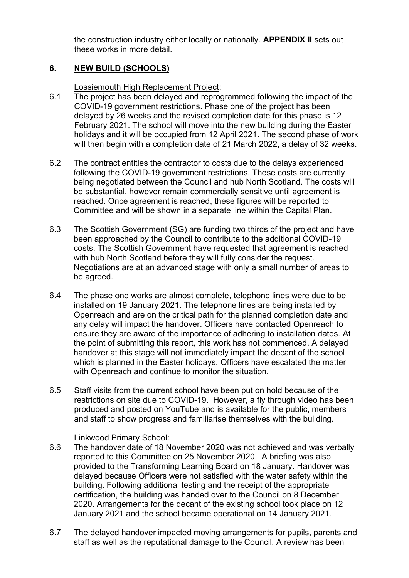the construction industry either locally or nationally. **APPENDIX II** sets out these works in more detail.

# **6. NEW BUILD (SCHOOLS)**

Lossiemouth High Replacement Project:

- 6.1 The project has been delayed and reprogrammed following the impact of the COVID-19 government restrictions. Phase one of the project has been delayed by 26 weeks and the revised completion date for this phase is 12 February 2021. The school will move into the new building during the Easter holidays and it will be occupied from 12 April 2021. The second phase of work will then begin with a completion date of 21 March 2022, a delay of 32 weeks.
- 6.2 The contract entitles the contractor to costs due to the delays experienced following the COVID-19 government restrictions. These costs are currently being negotiated between the Council and hub North Scotland. The costs will be substantial, however remain commercially sensitive until agreement is reached. Once agreement is reached, these figures will be reported to Committee and will be shown in a separate line within the Capital Plan.
- 6.3 The Scottish Government (SG) are funding two thirds of the project and have been approached by the Council to contribute to the additional COVID-19 costs. The Scottish Government have requested that agreement is reached with hub North Scotland before they will fully consider the request. Negotiations are at an advanced stage with only a small number of areas to be agreed.
- 6.4 The phase one works are almost complete, telephone lines were due to be installed on 19 January 2021. The telephone lines are being installed by Openreach and are on the critical path for the planned completion date and any delay will impact the handover. Officers have contacted Openreach to ensure they are aware of the importance of adhering to installation dates. At the point of submitting this report, this work has not commenced. A delayed handover at this stage will not immediately impact the decant of the school which is planned in the Easter holidays. Officers have escalated the matter with Openreach and continue to monitor the situation.
- 6.5 Staff visits from the current school have been put on hold because of the restrictions on site due to COVID-19. However, a fly through video has been produced and posted on YouTube and is available for the public, members and staff to show progress and familiarise themselves with the building.

#### Linkwood Primary School:

- 6.6 The handover date of 18 November 2020 was not achieved and was verbally reported to this Committee on 25 November 2020. A briefing was also provided to the Transforming Learning Board on 18 January. Handover was delayed because Officers were not satisfied with the water safety within the building. Following additional testing and the receipt of the appropriate certification, the building was handed over to the Council on 8 December 2020. Arrangements for the decant of the existing school took place on 12 January 2021 and the school became operational on 14 January 2021.
- 6.7 The delayed handover impacted moving arrangements for pupils, parents and staff as well as the reputational damage to the Council. A review has been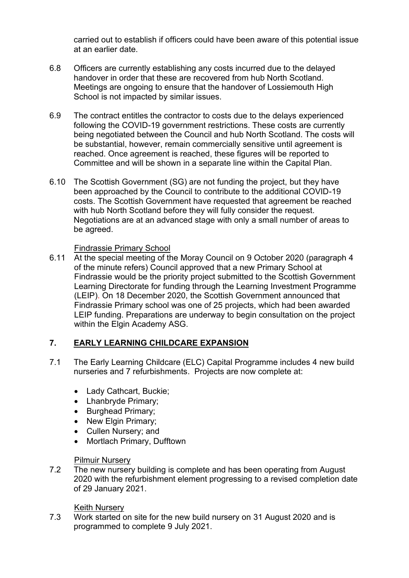carried out to establish if officers could have been aware of this potential issue at an earlier date.

- 6.8 Officers are currently establishing any costs incurred due to the delayed handover in order that these are recovered from hub North Scotland. Meetings are ongoing to ensure that the handover of Lossiemouth High School is not impacted by similar issues.
- 6.9 The contract entitles the contractor to costs due to the delays experienced following the COVID-19 government restrictions. These costs are currently being negotiated between the Council and hub North Scotland. The costs will be substantial, however, remain commercially sensitive until agreement is reached. Once agreement is reached, these figures will be reported to Committee and will be shown in a separate line within the Capital Plan.
- 6.10 The Scottish Government (SG) are not funding the project, but they have been approached by the Council to contribute to the additional COVID-19 costs. The Scottish Government have requested that agreement be reached with hub North Scotland before they will fully consider the request. Negotiations are at an advanced stage with only a small number of areas to be agreed.

#### Findrassie Primary School

6.11 At the special meeting of the Moray Council on 9 October 2020 (paragraph 4 of the minute refers) Council approved that a new Primary School at Findrassie would be the priority project submitted to the Scottish Government Learning Directorate for funding through the Learning Investment Programme (LEIP). On 18 December 2020, the Scottish Government announced that Findrassie Primary school was one of 25 projects, which had been awarded LEIP funding. Preparations are underway to begin consultation on the project within the Elgin Academy ASG.

# **7. EARLY LEARNING CHILDCARE EXPANSION**

- 7.1 The Early Learning Childcare (ELC) Capital Programme includes 4 new build nurseries and 7 refurbishments. Projects are now complete at:
	- Lady Cathcart, Buckie:
	- Lhanbryde Primary;
	- Burghead Primary;
	- New Elgin Primary;
	- Cullen Nursery; and
	- Mortlach Primary, Dufftown

**Pilmuir Nursery**<br>7.2 The new nursery The new nursery building is complete and has been operating from August 2020 with the refurbishment element progressing to a revised completion date of 29 January 2021.

#### **Keith Nurserv**

7.3 Work started on site for the new build nursery on 31 August 2020 and is programmed to complete 9 July 2021.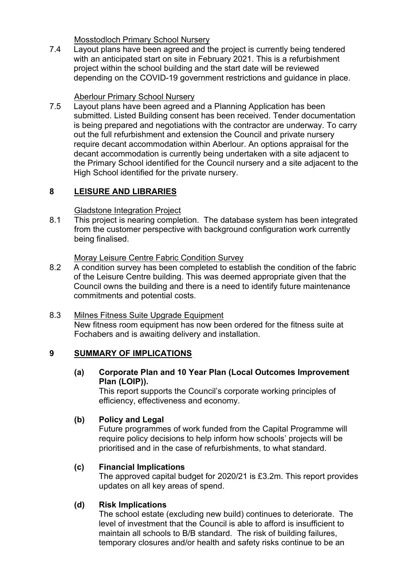**Mosstodloch Primary School Nursery**<br>7.4 Lavout plans have been agreed and th Layout plans have been agreed and the project is currently being tendered with an anticipated start on site in February 2021. This is a refurbishment project within the school building and the start date will be reviewed depending on the COVID-19 government restrictions and guidance in place.

# Aberlour Primary School Nursery<br>7.5 Lavout plans have been agreed a

Layout plans have been agreed and a Planning Application has been submitted. Listed Building consent has been received. Tender documentation is being prepared and negotiations with the contractor are underway. To carry out the full refurbishment and extension the Council and private nursery require decant accommodation within Aberlour. An options appraisal for the decant accommodation is currently being undertaken with a site adjacent to the Primary School identified for the Council nursery and a site adjacent to the High School identified for the private nursery.

# **8 LEISURE AND LIBRARIES**

# Gladstone Integration Project

8.1 This project is nearing completion. The database system has been integrated from the customer perspective with background configuration work currently being finalised.

<u>Moray Leisure Centre Fabric Condition Survey</u><br>8.2 A condition survey has been completed to estal A condition survey has been completed to establish the condition of the fabric of the Leisure Centre building. This was deemed appropriate given that the Council owns the building and there is a need to identify future maintenance commitments and potential costs.

# 8.3 Milnes Fitness Suite Upgrade Equipment

New fitness room equipment has now been ordered for the fitness suite at Fochabers and is awaiting delivery and installation.

# **9 SUMMARY OF IMPLICATIONS**

**(a) Corporate Plan and 10 Year Plan (Local Outcomes Improvement Plan (LOIP)).** 

This report supports the Council's corporate working principles of efficiency, effectiveness and economy.

# **(b) Policy and Legal**

Future programmes of work funded from the Capital Programme will require policy decisions to help inform how schools' projects will be prioritised and in the case of refurbishments, to what standard.

# **(c) Financial Implications**

The approved capital budget for 2020/21 is £3.2m. This report provides updates on all key areas of spend.

# **(d) Risk Implications**

The school estate (excluding new build) continues to deteriorate. The level of investment that the Council is able to afford is insufficient to maintain all schools to B/B standard. The risk of building failures, temporary closures and/or health and safety risks continue to be an